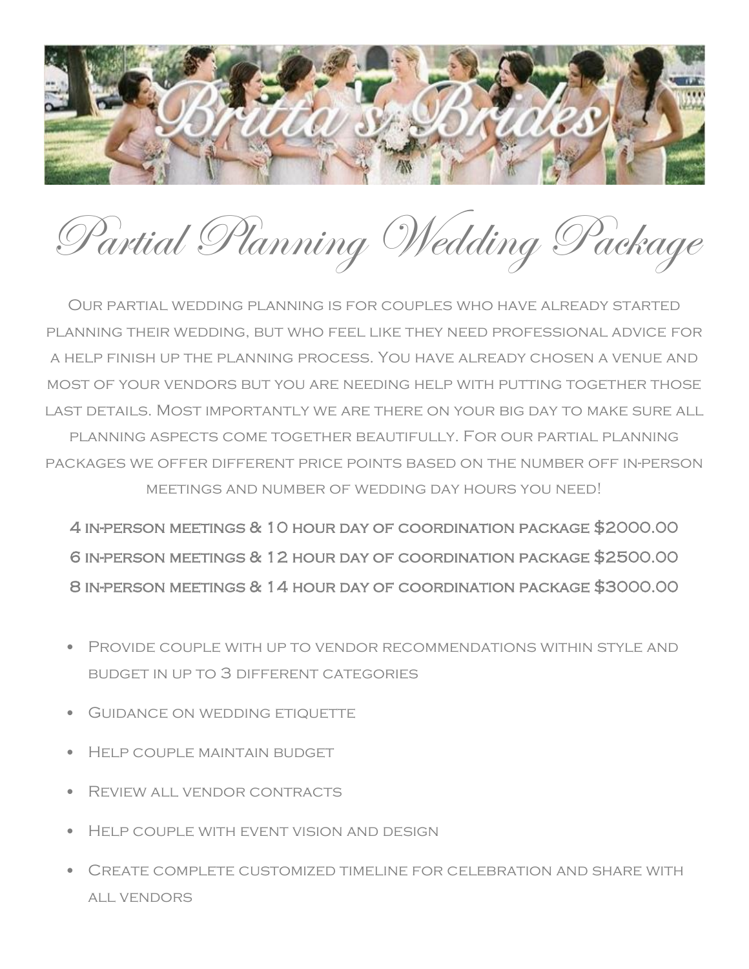

Partial Planning Wedding Package

Our partial wedding planning is for couples who have already started planning their wedding, but who feel like they need professional advice for a help finish up the planning process. You have already chosen a venue and most of your vendors but you are needing help with putting together those last details. Most importantly we are there on your big day to make sure all planning aspects come together beautifully. For our partial planning packages we offer different price points based on the number off in-person meetings and number of wedding day hours you need!

4 in-person meetings & 10 hour day of coordination package \$2000.00 6 in-person meetings & 12 hour day of coordination package \$2500.00 8 in-person meetings & 14 hour day of coordination package \$3000.00

- Provide couple with up to vendor recommendations within style and budget in up to 3 different categories
- GUIDANCE ON WEDDING ETIQUETTE
- HELP COUPLE MAINTAIN BUDGET
- Review all vendor contracts
- Help couple with event vision and design
- Create complete customized timeline for celebration and share with all vendors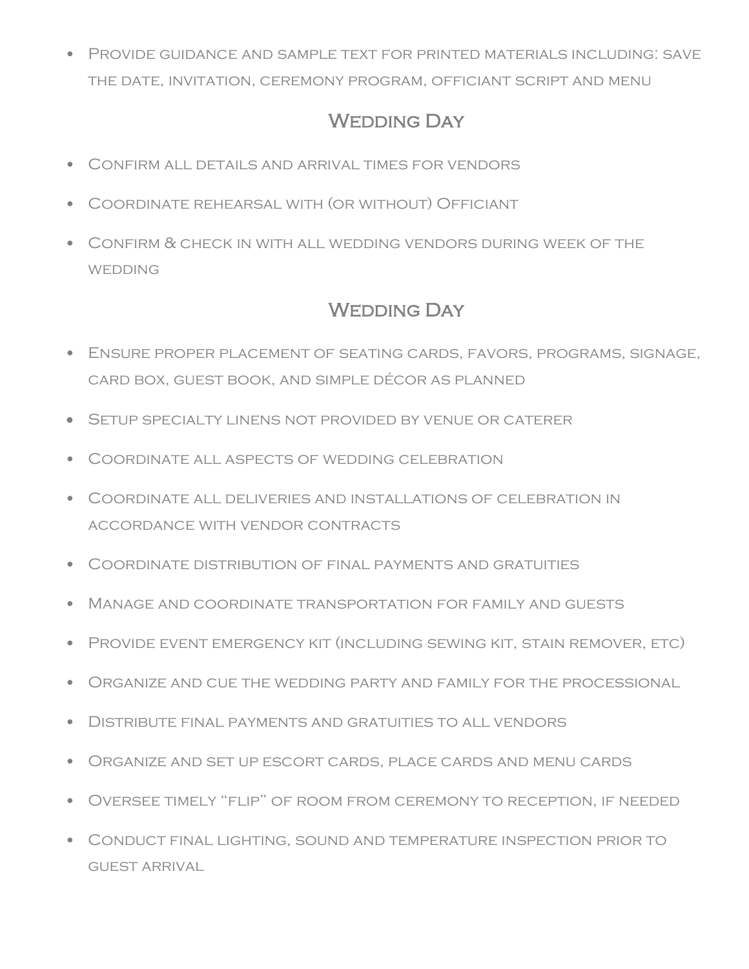• Provide guidance and sample text for printed materials including: save the date, invitation, ceremony program, officiant script and menu

## WEDDING DAY

- Confirm all details and arrival times for vendors
- Coordinate rehearsal with (or without) Officiant
- Confirm & check in with all wedding vendors during week of the **WEDDING**

## WEDDING DAY

- Ensure proper placement of seating cards, favors, programs, signage, card box, guest book, and simple décor as planned
- Setup specialty linens not provided by venue or caterer
- Coordinate all aspects of wedding celebration
- Coordinate all deliveries and installations of celebration in accordance with vendor contracts
- Coordinate distribution of final payments and gratuities
- Manage and coordinate transportation for family and guests
- Provide event emergency kit (including sewing kit, stain remover, etc)
- $\bullet$  Organize and cue the wedding party and family for the processional  $\bullet$
- Distribute final payments and gratuities to all vendors
- Organize and set up escort cards, place cards and menu cards
- Oversee timely "flip" of room from ceremony to reception, if needed
- Conduct final lighting, sound and temperature inspection prior to guest arrival